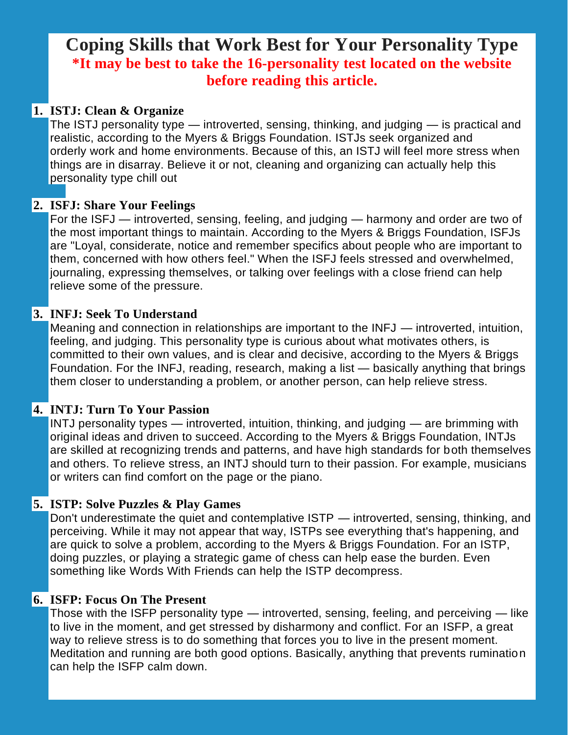# **Coping Skills that Work Best for Your Personality Type \*It may be best to take the 16-personality test located on the website before reading this article.**

### **1. ISTJ: Clean & Organize**

The ISTJ personality type — introverted, sensing, thinking, and judging — is practical and realistic, according to the Myers & Briggs Foundation. ISTJs seek [organized](http://www.myersbriggs.org/my-mbti-personality-type/mbti-basics/the-16-mbti-types.htm) and [orderly](http://www.myersbriggs.org/my-mbti-personality-type/mbti-basics/the-16-mbti-types.htm) work and home environments. Because of this, an ISTJ will feel more stress when things are in disarray. Believe it or not, cleaning and organizing can actually help this personality type chill out

#### **2. ISFJ: Share Your Feelings**

For the ISFJ — introverted, sensing, feeling, and judging — harmony and order are two of the most important things to maintain. According to the Myers & Briggs Foundation, ISFJs are "Loyal, considerate, notice and remember specifics about people who are important to them, concerned with how others feel." When the ISFJ feels stressed and [overwhelmed,](http://www.myersbriggs.org/my-mbti-personality-type/mbti-basics/the-16-mbti-types.htm) journaling, expressing themselves, or talking over feelings with a close friend can help relieve some of the pressure.

### **3. INFJ: Seek To Understand**

Meaning and connection in relationships are important to the INFJ — introverted, intuition, feeling, and judging. This personality type is curious about what motivates others, is committed to their own values, and is clear and decisive, according to the Myers & Briggs Foundation. For the INFJ, reading, [research,](http://www.myersbriggs.org/my-mbti-personality-type/mbti-basics/the-16-mbti-types.htm) making a list — basically anything that brings them closer to understanding a problem, or another person, can help relieve stress.

## **4. INTJ: Turn To Your Passion**

INTJ personality types — introverted, intuition, thinking, and judging — are brimming with original ideas and driven to succeed. According to the Myers & Briggs Foundation, INTJs are skilled at recognizing trends and patterns, and have high standards for both themselves and others. To relieve [stress,](http://www.myersbriggs.org/my-mbti-personality-type/mbti-basics/the-16-mbti-types.htm) an INTJ should turn to their passion. For example, musicians or writers can find comfort on the page or the piano.

#### **5. ISTP: Solve Puzzles & Play Games**

Don't underestimate the quiet and contemplative ISTP — introverted, sensing, thinking, and perceiving. While it may not appear that way, ISTPs see everything that's happening, and are quick to solve a problem, according to the Myers & Briggs Foundation. For an ISTP, doing puzzles, or playing a strategic game of chess can help ease the burden. Even something like Words With Friends can help the ISTP [decompress.](http://www.myersbriggs.org/my-mbti-personality-type/mbti-basics/the-16-mbti-types.htm)

#### **6. ISFP: Focus On The Present**

Those with the ISFP personality type — introverted, sensing, feeling, and perceiving — like to live in the moment, and get stressed by disharmony and conflict. For an [ISFP,](http://www.myersbriggs.org/my-mbti-personality-type/mbti-basics/the-16-mbti-types.htm) a great way to [relieve](http://www.myersbriggs.org/my-mbti-personality-type/mbti-basics/the-16-mbti-types.htm) stress is to do something that forces you to live in the present moment. Meditation and running are both good options. Basically, anything that prevents rumination can help the ISFP calm down.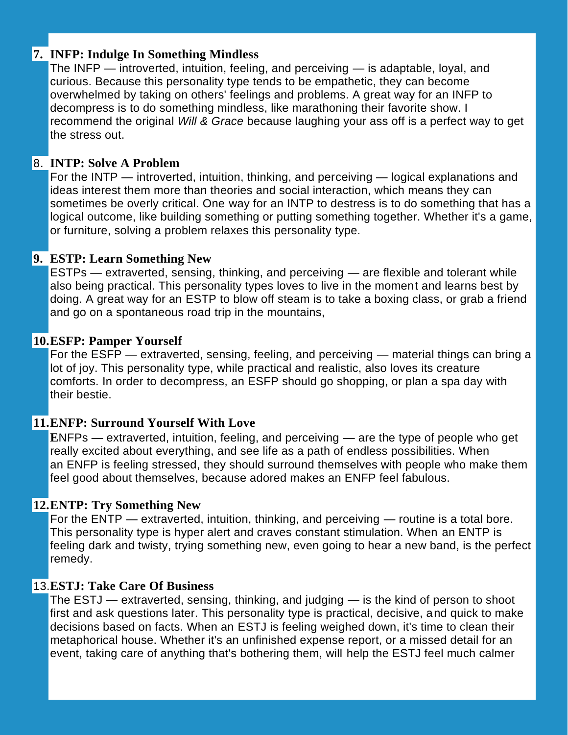#### **7. INFP: Indulge In Something Mindless**

The INFP — introverted, intuition, feeling, and perceiving — is [adaptable,](http://www.myersbriggs.org/my-mbti-personality-type/mbti-basics/the-16-mbti-types.htm) loyal, and [curious.](http://www.myersbriggs.org/my-mbti-personality-type/mbti-basics/the-16-mbti-types.htm) Because this personality type tends to be empathetic, they can become overwhelmed by taking on others' feelings and problems. A great way for an INFP to decompress is to do something mindless, like marathoning their favorite show. I recommend the original *Will & Grace* because laughing your ass off is a perfect way to get the stress out.

#### 8. **INTP: Solve A Problem**

For the INTP — introverted, intuition, thinking, and perceiving — logical explanations and ideas interest them more than theories and social interaction, which means they can sometimes be overly critical. One way for an INTP to [destress](http://www.myersbriggs.org/my-mbti-personality-type/mbti-basics/the-16-mbti-types.htm) is to do something that has a logical outcome, like building something or putting something together. Whether it's a game, or furniture, solving a problem relaxes this personality type.

#### **9. ESTP: Learn Something New**

ESTPs — extraverted, sensing, thinking, and perceiving — are flexible and tolerant while also being practical. This personality types loves to live in the moment and learns best by doing. A great way for an ESTP to blow off [steam](http://www.myersbriggs.org/my-mbti-personality-type/mbti-basics/the-16-mbti-types.htm) is to take a boxing class, or grab a friend and go on a spontaneous road trip in the mountains,

#### **10.ESFP: Pamper Yourself**

For the ESFP — extraverted, sensing, feeling, and perceiving — material things can bring a lot of joy. This personality type, while practical and realistic, also loves its creature comforts. In order to [decompress,](http://www.myersbriggs.org/my-mbti-personality-type/mbti-basics/the-16-mbti-types.htm) an ESFP should go shopping, or plan a spa day with their bestie.

## **11.ENFP: Surround Yourself With Love**

**E**NFPs — extraverted, intuition, feeling, and perceiving — are the type of people who get really excited about everything, and see life as a path of endless possibilities. When an ENFP is feeling [stressed,](http://www.myersbriggs.org/my-mbti-personality-type/mbti-basics/the-16-mbti-types.htm) they should surround themselves with people who make them feel good about themselves, because adored makes an ENFP feel fabulous.

#### **12.ENTP: Try Something New**

For the ENTP — extraverted, intuition, thinking, and perceiving — routine is a total bore. This personality type is hyper alert and craves constant stimulation. When an [ENTP](http://www.myersbriggs.org/my-mbti-personality-type/mbti-basics/the-16-mbti-types.htm) is [feeling](http://www.myersbriggs.org/my-mbti-personality-type/mbti-basics/the-16-mbti-types.htm) dark and twisty, trying something new, even going to hear a new band, is the perfect remedy.

#### 13.**ESTJ: Take Care Of Business**

The ESTJ — extraverted, sensing, thinking, and judging — is the kind of person to shoot first and ask questions later. This personality type is practical, decisive, and quick to make decisions based on facts. When an ESTJ is feeling [weighed](http://www.myersbriggs.org/my-mbti-personality-type/mbti-basics/the-16-mbti-types.htm) down, it's time to clean their metaphorical house. Whether it's an unfinished expense report, or a missed detail for an event, taking care of anything that's bothering them, will help the ESTJ feel much calmer